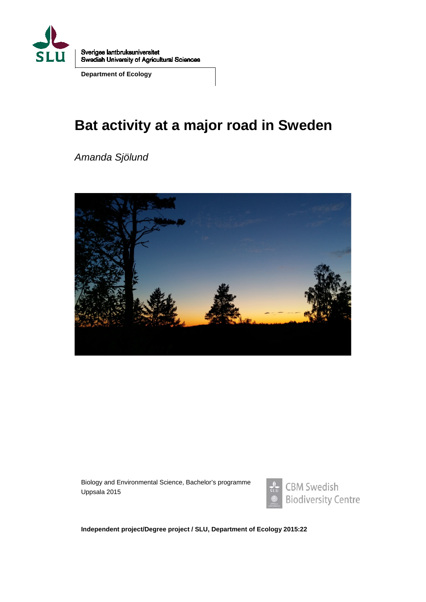

Sveriges lantbruksuniversitet Swedish University of Agricultural Sciences

**Department of Ecology**

# **Bat activity at a major road in Sweden**

*Amanda Sjölund*



Biology and Environmental Science, Bachelor's programme Uppsala 2015



**Independent project/Degree project / SLU, Department of Ecology 2015:22**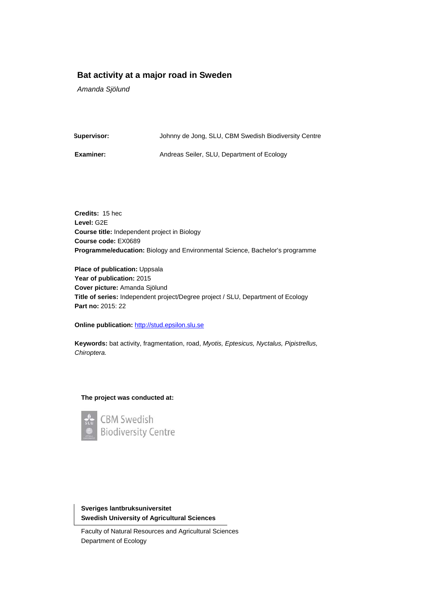#### **Bat activity at a major road in Sweden**

*Amanda Sjölund*

**Supervisor:** Johnny de Jong, SLU, CBM Swedish Biodiversity Centre

**Examiner:** Andreas Seiler, SLU, Department of Ecology

**Credits:** 15 hec **Level:** G2E **Course title:** Independent project in Biology **Course code:** EX0689 **Programme/education:** Biology and Environmental Science, Bachelor's programme

**Place of publication:** Uppsala **Year of publication:** 2015 **Cover picture:** Amanda Sjölund **Title of series:** Independent project/Degree project / SLU, Department of Ecology **Part no:** 2015: 22

**Online publication:** [http://stud.epsilon.slu.se](http://stud.epsilon.slu.se/)

**Keywords:** bat activity, fragmentation, road, *Myotis, Eptesicus, Nyctalus, Pipistrellus, Chiroptera.* 

#### **The project was conducted at:**



**Sveriges lantbruksuniversitet Swedish University of Agricultural Sciences**

Faculty of Natural Resources and Agricultural Sciences Department of Ecology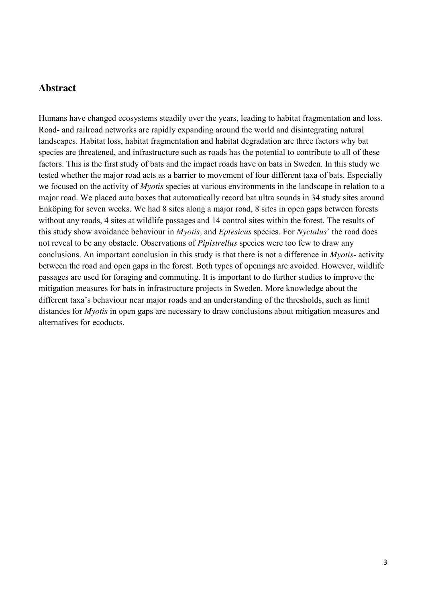#### <span id="page-2-0"></span>**Abstract**

Humans have changed ecosystems steadily over the years, leading to habitat fragmentation and loss. Road- and railroad networks are rapidly expanding around the world and disintegrating natural landscapes. Habitat loss, habitat fragmentation and habitat degradation are three factors why bat species are threatened, and infrastructure such as roads has the potential to contribute to all of these factors. This is the first study of bats and the impact roads have on bats in Sweden. In this study we tested whether the major road acts as a barrier to movement of four different taxa of bats. Especially we focused on the activity of *Myotis* species at various environments in the landscape in relation to a major road. We placed auto boxes that automatically record bat ultra sounds in 34 study sites around Enköping for seven weeks. We had 8 sites along a major road, 8 sites in open gaps between forests without any roads, 4 sites at wildlife passages and 14 control sites within the forest. The results of this study show avoidance behaviour in *Myotis,* and *Eptesicus* species. For *Nyctalus*` the road does not reveal to be any obstacle. Observations of *Pipistrellus* species were too few to draw any conclusions. An important conclusion in this study is that there is not a difference in *Myotis*- activity between the road and open gaps in the forest. Both types of openings are avoided. However, wildlife passages are used for foraging and commuting. It is important to do further studies to improve the mitigation measures for bats in infrastructure projects in Sweden. More knowledge about the different taxa's behaviour near major roads and an understanding of the thresholds, such as limit distances for *Myotis* in open gaps are necessary to draw conclusions about mitigation measures and alternatives for ecoducts.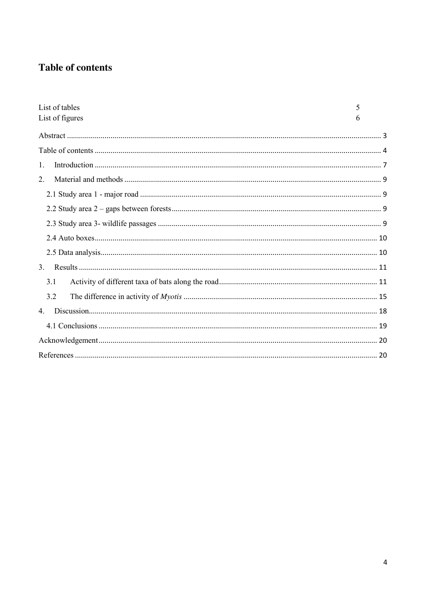# <span id="page-3-0"></span>**Table of contents**

| List of tables  | 5 |
|-----------------|---|
| List of figures | 6 |
|                 |   |
|                 |   |
| $1_{\cdot}$     |   |
| 2.              |   |
|                 |   |
|                 |   |
|                 |   |
|                 |   |
|                 |   |
| 3.              |   |
| 3.1             |   |
| 3.2             |   |
| $4_{\cdot}$     |   |
|                 |   |
|                 |   |
|                 |   |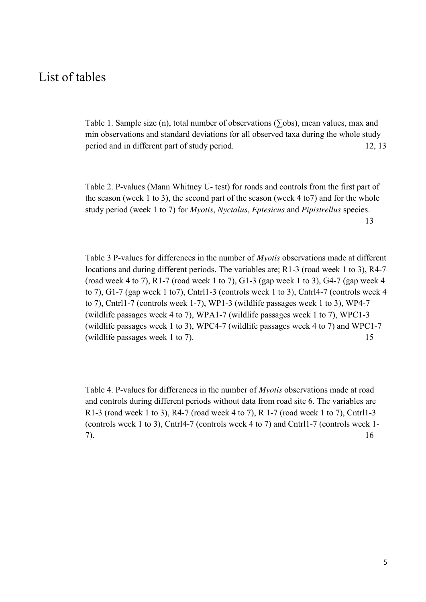# List of tables

Table 1. Sample size (n), total number of observations ( $\Sigma$ obs), mean values, max and min observations and standard deviations for all observed taxa during the whole study period and in different part of study period. 12, 13

Table 2. P-values (Mann Whitney U- test) for roads and controls from the first part of the season (week 1 to 3), the second part of the season (week 4 to7) and for the whole study period (week 1 to 7) for *Myotis*, *Nyctalus, Eptesicus* and *Pipistrellus* species. 13

Table 3 P-values for differences in the number of *Myotis* observations made at different locations and during different periods. The variables are; R1-3 (road week 1 to 3), R4-7 (road week 4 to 7), R1-7 (road week 1 to 7), G1-3 (gap week 1 to 3), G4-7 (gap week 4 to 7), G1-7 (gap week 1 to7), Cntrl1-3 (controls week 1 to 3), Cntrl4-7 (controls week 4 to 7), Cntrl1-7 (controls week 1-7), WP1-3 (wildlife passages week 1 to 3), WP4-7 (wildlife passages week 4 to 7), WPA1-7 (wildlife passages week 1 to 7), WPC1-3 (wildlife passages week 1 to 3), WPC4-7 (wildlife passages week 4 to 7) and WPC1-7 (wildlife passages week 1 to 7). 15

Table 4. P-values for differences in the number of *Myotis* observations made at road and controls during different periods without data from road site 6. The variables are R1-3 (road week 1 to 3), R4-7 (road week 4 to 7), R 1-7 (road week 1 to 7), Cntrl1-3 (controls week 1 to 3), Cntrl4-7 (controls week 4 to 7) and Cntrl1-7 (controls week 1- 7). 16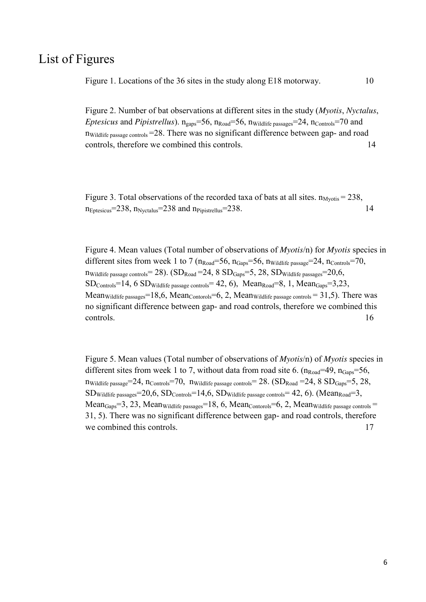## List of Figures

Figure 1. Locations of the 36 sites in the study along E18 motorway. 10

Figure 2. Number of bat observations at different sites in the study (*Myotis*, *Nyctalus*, *Eptesicus* and *Pipistrellus*).  $n_{\text{gaps}} = 56$ ,  $n_{\text{Road}} = 56$ ,  $n_{\text{Wildlife}\text{ passages}} = 24$ ,  $n_{\text{Controls}} = 70$  and  $n_{\text{Wildiffe passage controls}} = 28$ . There was no significant difference between gap- and road controls, therefore we combined this controls. 14

Figure 3. Total observations of the recorded taxa of bats at all sites.  $n_{Mvotis} = 238$ ,  $n_{\text{Eptesicus}} = 238$ ,  $n_{\text{Nvctalus}} = 238$  and  $n_{\text{Pipistrellus}} = 238$ . 14

Figure 4. Mean values (Total number of observations of *Myotis*/n) for *Myotis* species in different sites from week 1 to 7 ( $n_{\text{Road}} = 56$ ,  $n_{\text{Gaps}} = 56$ ,  $n_{\text{Wildlife passage}} = 24$ ,  $n_{\text{Controls}} = 70$ ,  $n_{\text{Wildlife passes controls}} = 28$ . ( $SD_{\text{Road}} = 24$ ,  $8 \text{ SD}_{\text{Gaps}} = 5$ ,  $28$ ,  $SD_{\text{Wildlife passes}} = 20,6$ ,  $SD_{\text{Controls}}=14, 6 SD_{\text{Wildlife passage controls}}=42, 6), \text{ Mean}_{\text{Read}}=8, 1, \text{Mean}_{\text{Gaps}}=3, 23,$ Mean<sub>Wildlife passages</sub>=18,6, Mean<sub>Contorols</sub>=6, 2, Mean<sub>Wildlife passage controls</sub> = 31,5). There was no significant difference between gap- and road controls, therefore we combined this controls. 16

Figure 5. Mean values (Total number of observations of *Myotis*/n) of *Myotis* species in different sites from week 1 to 7, without data from road site 6.  $(n_{\text{Road}}=49, n_{\text{Gaps}}=56,$  $n_{\text{Wildlife}\text{ passage}}=24$ ,  $n_{\text{Controls}}=70$ ,  $n_{\text{Wildlife}\text{ passage controls}}=28$ .  $(\text{SD}_{\text{Road}}=24, 8 \text{ SD}_{\text{Gans}}=5, 28,$  $SD_{\text{Wildiffe passages}}=20,6, SD_{\text{Controls}}=14,6, SD_{\text{Wildlife passage controls}}=42,6)$ . (Mean<sub>Road</sub>=3, Mean $_{\text{Gaps}}=3, 23, \text{Mean}_{\text{Wildliffe passages}}=18, 6, \text{Mean}_{\text{Contorols}}=6, 2, \text{Mean}_{\text{Wildliffe passage controls}}=6$ 31, 5). There was no significant difference between gap- and road controls, therefore we combined this controls. The same of the set of the set of the set of the set of the set of the set of the set of the set of the set of the set of the set of the set of the set of the set of the set of the set of the set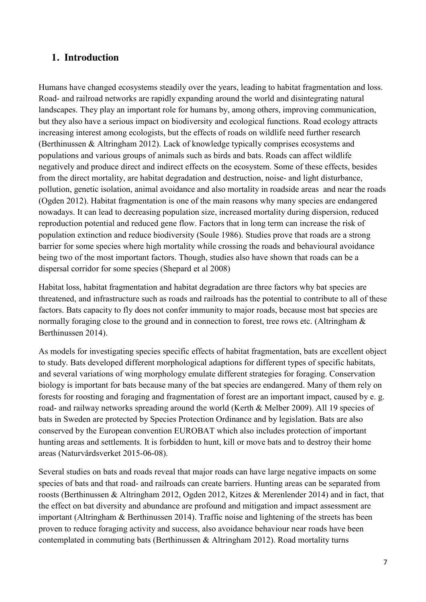### <span id="page-6-0"></span>**1. Introduction**

Humans have changed ecosystems steadily over the years, leading to habitat fragmentation and loss. Road- and railroad networks are rapidly expanding around the world and disintegrating natural landscapes. They play an important role for humans by, among others, improving communication, but they also have a serious impact on biodiversity and ecological functions. Road ecology attracts increasing interest among ecologists, but the effects of roads on wildlife need further research (Berthinussen & Altringham 2012). Lack of knowledge typically comprises ecosystems and populations and various groups of animals such as birds and bats. Roads can affect wildlife negatively and produce direct and indirect effects on the ecosystem. Some of these effects, besides from the direct mortality, are habitat degradation and destruction, noise- and light disturbance, pollution, genetic isolation, animal avoidance and also mortality in roadside areas and near the roads (Ogden 2012). Habitat fragmentation is one of the main reasons why many species are endangered nowadays. It can lead to decreasing population size, increased mortality during dispersion, reduced reproduction potential and reduced gene flow. Factors that in long term can increase the risk of population extinction and reduce biodiversity (Soule 1986). Studies prove that roads are a strong barrier for some species where high mortality while crossing the roads and behavioural avoidance being two of the most important factors. Though, studies also have shown that roads can be a dispersal corridor for some species (Shepard et al 2008)

Habitat loss, habitat fragmentation and habitat degradation are three factors why bat species are threatened, and infrastructure such as roads and railroads has the potential to contribute to all of these factors. Bats capacity to fly does not confer immunity to major roads, because most bat species are normally foraging close to the ground and in connection to forest, tree rows etc. (Altringham  $\&$ Berthinussen 2014).

As models for investigating species specific effects of habitat fragmentation, bats are excellent object to study. Bats developed different morphological adaptions for different types of specific habitats, and several variations of wing morphology emulate different strategies for foraging. Conservation biology is important for bats because many of the bat species are endangered. Many of them rely on forests for roosting and foraging and fragmentation of forest are an important impact, caused by e. g. road- and railway networks spreading around the world (Kerth & Melber 2009). All 19 species of bats in Sweden are protected by Species Protection Ordinance and by legislation. Bats are also conserved by the European convention EUROBAT which also includes protection of important hunting areas and settlements. It is forbidden to hunt, kill or move bats and to destroy their home areas (Naturvårdsverket 2015-06-08).

Several studies on bats and roads reveal that major roads can have large negative impacts on some species of bats and that road- and railroads can create barriers. Hunting areas can be separated from roosts (Berthinussen & Altringham 2012, Ogden 2012, Kitzes & Merenlender 2014) and in fact, that the effect on bat diversity and abundance are profound and mitigation and impact assessment are important (Altringham & Berthinussen 2014). Traffic noise and lightening of the streets has been proven to reduce foraging activity and success, also avoidance behaviour near roads have been contemplated in commuting bats (Berthinussen  $\&$  Altringham 2012). Road mortality turns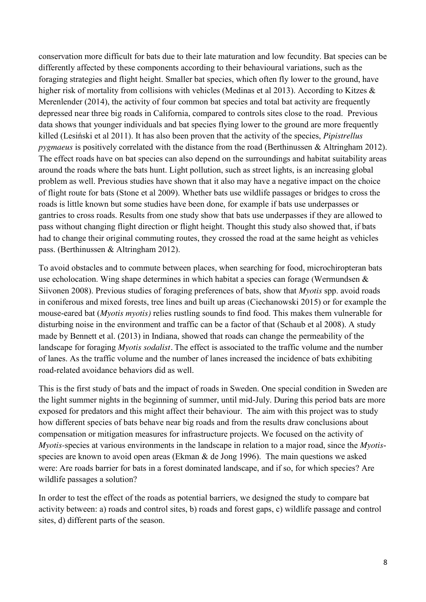conservation more difficult for bats due to their late maturation and low fecundity. Bat species can be differently affected by these components according to their behavioural variations, such as the foraging strategies and flight height. Smaller bat species, which often fly lower to the ground, have higher risk of mortality from collisions with vehicles (Medinas et al 2013). According to Kitzes & Merenlender (2014), the activity of four common bat species and total bat activity are frequently depressed near three big roads in California, compared to controls sites close to the road. Previous data shows that younger individuals and bat species flying lower to the ground are more frequently killed (Lesiński et al 2011). It has also been proven that the activity of the species, *Pipistrellus pygmaeus* is positively correlated with the distance from the road (Berthinussen & Altringham 2012). The effect roads have on bat species can also depend on the surroundings and habitat suitability areas around the roads where the bats hunt. Light pollution, such as street lights, is an increasing global problem as well. Previous studies have shown that it also may have a negative impact on the choice of flight route for bats (Stone et al 2009). Whether bats use wildlife passages or bridges to cross the roads is little known but some studies have been done, for example if bats use underpasses or gantries to cross roads. Results from one study show that bats use underpasses if they are allowed to pass without changing flight direction or flight height. Thought this study also showed that, if bats had to change their original commuting routes, they crossed the road at the same height as vehicles pass. (Berthinussen & Altringham 2012).

To avoid obstacles and to commute between places, when searching for food, microchiropteran bats use echolocation. Wing shape determines in which habitat a species can forage (Wermundsen & Siivonen 2008). Previous studies of foraging preferences of bats, show that *Myotis* spp. avoid roads in coniferous and mixed forests, tree lines and built up areas (Ciechanowski 2015) or for example the mouse-eared bat (*Myotis myotis)* relies rustling sounds to find food. This makes them vulnerable for disturbing noise in the environment and traffic can be a factor of that (Schaub et al 2008). A study made by Bennett et al. (2013) in Indiana, showed that roads can change the permeability of the landscape for foraging *Myotis sodalist.* The effect is associated to the traffic volume and the number of lanes. As the traffic volume and the number of lanes increased the incidence of bats exhibiting road-related avoidance behaviors did as well.

This is the first study of bats and the impact of roads in Sweden. One special condition in Sweden are the light summer nights in the beginning of summer, until mid-July. During this period bats are more exposed for predators and this might affect their behaviour. The aim with this project was to study how different species of bats behave near big roads and from the results draw conclusions about compensation or mitigation measures for infrastructure projects. We focused on the activity of *Myotis-*species at various environments in the landscape in relation to a major road, since the *Myotis*species are known to avoid open areas (Ekman & de Jong 1996). The main questions we asked were: Are roads barrier for bats in a forest dominated landscape, and if so, for which species? Are wildlife passages a solution?

In order to test the effect of the roads as potential barriers, we designed the study to compare bat activity between: a) roads and control sites, b) roads and forest gaps, c) wildlife passage and control sites, d) different parts of the season.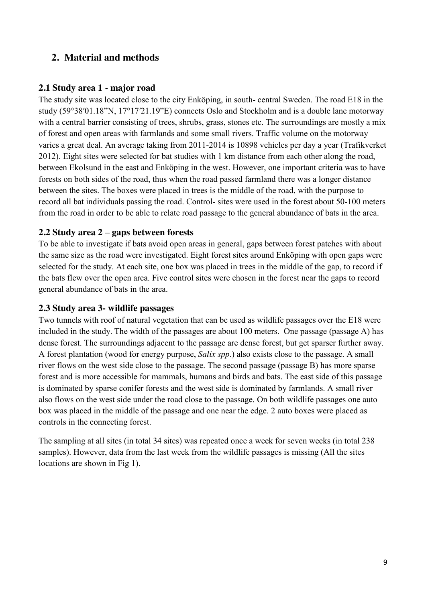### <span id="page-8-0"></span>**2. Material and methods**

#### <span id="page-8-1"></span>**2.1 Study area 1 - major road**

The study site was located close to the city Enköping, in south- central Sweden. The road E18 in the study (59°38′01.18"N, 17°17′21.19"E) connects Oslo and Stockholm and is a double lane motorway with a central barrier consisting of trees, shrubs, grass, stones etc. The surroundings are mostly a mix of forest and open areas with farmlands and some small rivers. Traffic volume on the motorway varies a great deal. An average taking from 2011-2014 is 10898 vehicles per day a year (Trafikverket 2012). Eight sites were selected for bat studies with 1 km distance from each other along the road, between Ekolsund in the east and Enköping in the west. However, one important criteria was to have forests on both sides of the road, thus when the road passed farmland there was a longer distance between the sites. The boxes were placed in trees is the middle of the road, with the purpose to record all bat individuals passing the road. Control- sites were used in the forest about 50-100 meters from the road in order to be able to relate road passage to the general abundance of bats in the area.

#### <span id="page-8-2"></span>**2.2 Study area 2 – gaps between forests**

To be able to investigate if bats avoid open areas in general, gaps between forest patches with about the same size as the road were investigated. Eight forest sites around Enköping with open gaps were selected for the study. At each site, one box was placed in trees in the middle of the gap, to record if the bats flew over the open area. Five control sites were chosen in the forest near the gaps to record general abundance of bats in the area.

#### <span id="page-8-3"></span>**2.3 Study area 3- wildlife passages**

Two tunnels with roof of natural vegetation that can be used as wildlife passages over the E18 were included in the study. The width of the passages are about 100 meters. One passage (passage A) has dense forest. The surroundings adjacent to the passage are dense forest, but get sparser further away. A forest plantation (wood for energy purpose, *Salix spp*.) also exists close to the passage. A small river flows on the west side close to the passage. The second passage (passage B) has more sparse forest and is more accessible for mammals, humans and birds and bats. The east side of this passage is dominated by sparse conifer forests and the west side is dominated by farmlands. A small river also flows on the west side under the road close to the passage. On both wildlife passages one auto box was placed in the middle of the passage and one near the edge. 2 auto boxes were placed as controls in the connecting forest.

The sampling at all sites (in total 34 sites) was repeated once a week for seven weeks (in total 238 samples). However, data from the last week from the wildlife passages is missing (All the sites locations are shown in Fig 1).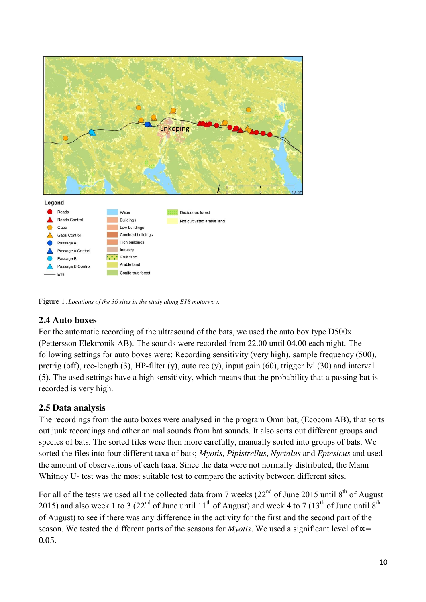

Figure 1*. Locations of the 36 sites in the study along E18 motorway.* 

### <span id="page-9-0"></span>**2.4 Auto boxes**

For the automatic recording of the ultrasound of the bats, we used the auto box type D500x (Pettersson Elektronik AB). The sounds were recorded from 22.00 until 04.00 each night. The following settings for auto boxes were: Recording sensitivity (very high), sample frequency (500), pretrig (off), rec-length (3), HP-filter (y), auto rec (y), input gain (60), trigger lvl (30) and interval (5). The used settings have a high sensitivity, which means that the probability that a passing bat is recorded is very high.

### <span id="page-9-1"></span>**2.5 Data analysis**

The recordings from the auto boxes were analysed in the program Omnibat, (Ecocom AB), that sorts out junk recordings and other animal sounds from bat sounds. It also sorts out different groups and species of bats. The sorted files were then more carefully, manually sorted into groups of bats. We sorted the files into four different taxa of bats; *Myotis, Pipistrellus, Nyctalus* and *Eptesicus* and used the amount of observations of each taxa. Since the data were not normally distributed, the Mann Whitney U- test was the most suitable test to compare the activity between different sites.

For all of the tests we used all the collected data from 7 weeks  $(22<sup>nd</sup>$  of June 2015 until  $8<sup>th</sup>$  of August 2015) and also week 1 to 3 (22<sup>nd</sup> of June until 11<sup>th</sup> of August) and week 4 to 7 (13<sup>th</sup> of June until 8<sup>th</sup> of August) to see if there was any difference in the activity for the first and the second part of the season. We tested the different parts of the seasons for *Myotis*. We used a significant level of  $\propto$  = 0.05.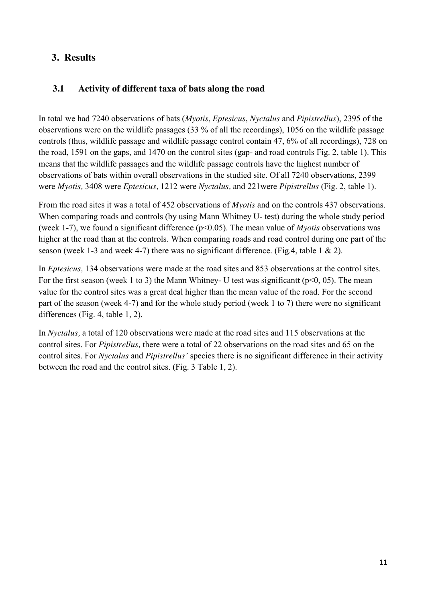### <span id="page-10-0"></span>**3. Results**

#### <span id="page-10-1"></span>**3.1 Activity of different taxa of bats along the road**

In total we had 7240 observations of bats (*Myotis*, *Eptesicus*, *Nyctalus* and *Pipistrellus*), 2395 of the observations were on the wildlife passages (33 % of all the recordings), 1056 on the wildlife passage controls (thus, wildlife passage and wildlife passage control contain 47, 6% of all recordings), 728 on the road, 1591 on the gaps, and 1470 on the control sites (gap- and road controls Fig. 2, table 1). This means that the wildlife passages and the wildlife passage controls have the highest number of observations of bats within overall observations in the studied site. Of all 7240 observations, 2399 were *Myotis,* 3408 were *Eptesicus,* 1212 were *Nyctalus,* and 221were *Pipistrellus* (Fig. 2, table 1).

From the road sites it was a total of 452 observations of *Myotis* and on the controls 437 observations. When comparing roads and controls (by using Mann Whitney U- test) during the whole study period (week 1-7), we found a significant difference (p<0.05). The mean value of *Myotis* observations was higher at the road than at the controls. When comparing roads and road control during one part of the season (week 1-3 and week 4-7) there was no significant difference. (Fig.4, table 1  $\&$  2).

In *Eptesicus,* 134 observations were made at the road sites and 853 observations at the control sites. For the first season (week 1 to 3) the Mann Whitney- U test was significant  $(p<0, 05)$ . The mean value for the control sites was a great deal higher than the mean value of the road. For the second part of the season (week 4-7) and for the whole study period (week 1 to 7) there were no significant differences (Fig. 4, table 1, 2).

In *Nyctalus,* a total of 120 observations were made at the road sites and 115 observations at the control sites. For *Pipistrellus,* there were a total of 22 observations on the road sites and 65 on the control sites. For *Nyctalus* and *Pipistrellus´* species there is no significant difference in their activity between the road and the control sites. (Fig. 3 Table 1, 2).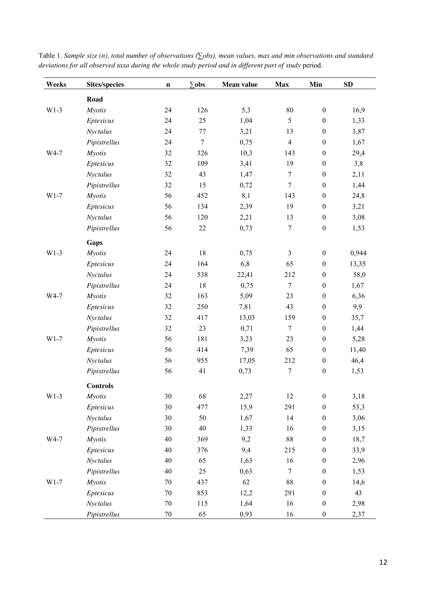| Weeks  | <b>Sites/species</b> | $\mathbf n$ | $\Sigma$ obs     | Mean value | <b>Max</b>     | Min              | SD    |
|--------|----------------------|-------------|------------------|------------|----------------|------------------|-------|
|        | Road                 |             |                  |            |                |                  |       |
| $W1-3$ | <b>Myotis</b>        | 24          | 126              | 5,3        | 80             | $\boldsymbol{0}$ | 16,9  |
|        | Eptesicus            | 24          | 25               | 1,04       | 5              | $\boldsymbol{0}$ | 1,33  |
|        | Nyctalus             | 24          | 77               | 3,21       | 13             | $\boldsymbol{0}$ | 3,87  |
|        | Pipistrellus         | 24          | $\boldsymbol{7}$ | 0,75       | $\overline{4}$ | $\boldsymbol{0}$ | 1,67  |
| W4-7   | <b>Myotis</b>        | 32          | 326              | 10,3       | 143            | $\boldsymbol{0}$ | 29,4  |
|        | Eptesicus            | 32          | 109              | 3,41       | 19             | $\boldsymbol{0}$ | 3,8   |
|        | Nyctalus             | 32          | 43               | 1,47       | $\tau$         | $\boldsymbol{0}$ | 2,11  |
|        | Pipistrellus         | 32          | 15               | 0,72       | $\tau$         | $\boldsymbol{0}$ | 1,44  |
| $W1-7$ | <b>Myotis</b>        | 56          | 452              | 8,1        | 143            | $\boldsymbol{0}$ | 24,8  |
|        | Eptesicus            | 56          | 134              | 2,39       | 19             | $\boldsymbol{0}$ | 3,21  |
|        | Nyctalus             | 56          | 120              | 2,21       | 13             | $\boldsymbol{0}$ | 3,08  |
|        | Pipistrellus         | 56          | 22               | 0,73       | $\tau$         | $\boldsymbol{0}$ | 1,53  |
|        | Gaps                 |             |                  |            |                |                  |       |
| $W1-3$ | <b>Myotis</b>        | 24          | $18\,$           | 0,75       | $\overline{3}$ | $\boldsymbol{0}$ | 0,944 |
|        | Eptesicus            | 24          | 164              | 6,8        | 65             | $\boldsymbol{0}$ | 13,35 |
|        | Nyctalus             | 24          | 538              | 22,41      | 212            | $\boldsymbol{0}$ | 58,0  |
|        | Pipistrellus         | 24          | 18               | 0,75       | $\tau$         | $\boldsymbol{0}$ | 1,67  |
| W4-7   | <b>Myotis</b>        | 32          | 163              | 5,09       | 23             | $\boldsymbol{0}$ | 6,36  |
|        | Eptesicus            | 32          | 250              | 7,81       | 43             | $\boldsymbol{0}$ | 9,9   |
|        | Nyctalus             | 32          | 417              | 13,03      | 159            | $\boldsymbol{0}$ | 35,7  |
|        | Pipistrellus         | 32          | 23               | 0,71       | $\tau$         | $\boldsymbol{0}$ | 1,44  |
| $W1-7$ | <b>Myotis</b>        | 56          | 181              | 3,23       | 23             | $\boldsymbol{0}$ | 5,28  |
|        | Eptesicus            | 56          | 414              | 7,39       | 65             | $\boldsymbol{0}$ | 11,40 |
|        | Nyctalus             | 56          | 955              | 17,05      | 212            | $\boldsymbol{0}$ | 46,4  |
|        | Pipistrellus         | 56          | 41               | 0,73       | $\tau$         | $\boldsymbol{0}$ | 1,53  |
|        | <b>Controls</b>      |             |                  |            |                |                  |       |
| $W1-3$ | <b>Myotis</b>        | 30          | 68               | 2,27       | 12             | $\boldsymbol{0}$ | 3,18  |
|        | Eptesicus            | 30          | 477              | 15,9       | 291            | $\boldsymbol{0}$ | 53,3  |
|        | Nyctalus             | $30\,$      | 50               | 1,67       | 14             | $\boldsymbol{0}$ | 3,06  |
|        | Pipistrellus         | $30\,$      | 40               | 1,33       | 16             | $\boldsymbol{0}$ | 3,15  |
| W4-7   | <b>Myotis</b>        | 40          | 369              | 9,2        | $88\,$         | $\boldsymbol{0}$ | 18,7  |
|        | Eptesicus            | 40          | 376              | 9,4        | 215            | $\boldsymbol{0}$ | 33,9  |
|        | Nyctalus             | 40          | 65               | 1,63       | 16             | $\boldsymbol{0}$ | 2,96  |
|        | Pipistrellus         | 40          | 25               | 0,63       | $\overline{7}$ | $\boldsymbol{0}$ | 1,53  |
| $W1-7$ | <b>Myotis</b>        | $70\,$      | 437              | 62         | $88\,$         | $\boldsymbol{0}$ | 14,6  |
|        | Eptesicus            | $70\,$      | 853              | 12,2       | 291            | $\boldsymbol{0}$ | 43    |
|        | Nyctalus             | $70\,$      | 115              | 1,64       | 16             | $\boldsymbol{0}$ | 2,98  |
|        | Pipistrellus         | $70\,$      | 65               | 0,93       | 16             | $\boldsymbol{0}$ | 2,37  |

Table 1. *Sample size (n), total number of observations (∑obs), mean values, max and min observations and standard deviations for all observed taxa during the whole study period and in different part of study* period.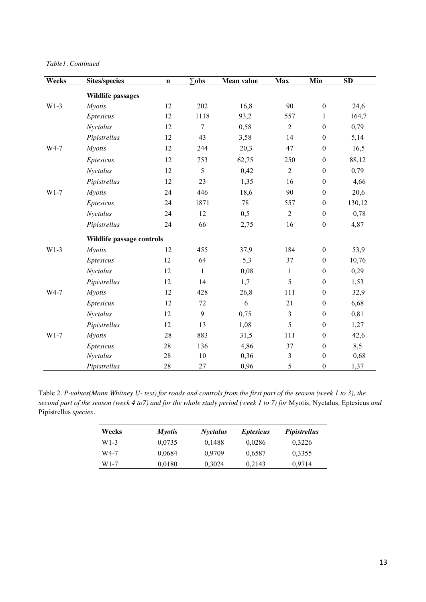*Table1. Continued*

| Weeks  | <b>Sites/species</b>      | $\mathbf n$ | $\Sigma$ obs | Mean value | <b>Max</b>     | Min              | $\overline{\text{SD}}$ |
|--------|---------------------------|-------------|--------------|------------|----------------|------------------|------------------------|
|        | <b>Wildlife passages</b>  |             |              |            |                |                  |                        |
| $W1-3$ | <b>Myotis</b>             | 12          | 202          | 16,8       | 90             | $\boldsymbol{0}$ | 24,6                   |
|        | Eptesicus                 | 12          | 1118         | 93,2       | 557            | $\mathbf{1}$     | 164,7                  |
|        | Nyctalus                  | 12          | 7            | 0,58       | $\overline{2}$ | $\boldsymbol{0}$ | 0,79                   |
|        | Pipistrellus              | 12          | 43           | 3,58       | 14             | $\boldsymbol{0}$ | 5,14                   |
| W4-7   | <b>Myotis</b>             | 12          | 244          | 20,3       | 47             | $\boldsymbol{0}$ | 16,5                   |
|        | Eptesicus                 | 12          | 753          | 62,75      | 250            | $\boldsymbol{0}$ | 88,12                  |
|        | Nyctalus                  | 12          | 5            | 0,42       | $\overline{2}$ | $\boldsymbol{0}$ | 0,79                   |
|        | Pipistrellus              | 12          | 23           | 1,35       | 16             | $\boldsymbol{0}$ | 4,66                   |
| $W1-7$ | <b>Myotis</b>             | 24          | 446          | 18,6       | 90             | $\boldsymbol{0}$ | 20,6                   |
|        | Eptesicus                 | 24          | 1871         | 78         | 557            | $\boldsymbol{0}$ | 130,12                 |
|        | Nyctalus                  | 24          | 12           | 0, 5       | $\overline{2}$ | $\boldsymbol{0}$ | 0,78                   |
|        | Pipistrellus              | 24          | 66           | 2,75       | 16             | $\boldsymbol{0}$ | 4,87                   |
|        | Wildlife passage controls |             |              |            |                |                  |                        |
| $W1-3$ | <b>Myotis</b>             | 12          | 455          | 37,9       | 184            | $\boldsymbol{0}$ | 53,9                   |
|        | <b>Eptesicus</b>          | 12          | 64           | 5,3        | 37             | $\boldsymbol{0}$ | 10,76                  |
|        | Nyctalus                  | 12          | $\mathbf{1}$ | 0,08       | $\mathbf{1}$   | $\boldsymbol{0}$ | 0,29                   |
|        | Pipistrellus              | 12          | 14           | 1,7        | 5              | $\boldsymbol{0}$ | 1,53                   |
| W4-7   | <b>Myotis</b>             | 12          | 428          | 26,8       | 111            | $\boldsymbol{0}$ | 32,9                   |
|        | Eptesicus                 | 12          | 72           | 6          | 21             | $\boldsymbol{0}$ | 6,68                   |
|        | Nyctalus                  | 12          | 9            | 0,75       | 3              | $\boldsymbol{0}$ | 0,81                   |
|        | Pipistrellus              | 12          | 13           | 1,08       | 5              | $\boldsymbol{0}$ | 1,27                   |
| $W1-7$ | <b>Myotis</b>             | 28          | 883          | 31,5       | 111            | $\boldsymbol{0}$ | 42,6                   |
|        | Eptesicus                 | 28          | 136          | 4,86       | 37             | $\boldsymbol{0}$ | 8,5                    |
|        | Nyctalus                  | 28          | 10           | 0,36       | 3              | $\boldsymbol{0}$ | 0,68                   |
|        | Pipistrellus              | 28          | 27           | 0,96       | 5              | $\boldsymbol{0}$ | 1,37                   |

Table 2. *P-values(Mann Whitney U- test) for roads and controls from the first part of the season (week 1 to 3), the second part of the season (week 4 to7) and for the whole study period (week 1 to 7) for* Myotis*,* Nyctalus*,* Eptesicus *and*  Pipistrellus *species.* 

| Weeks | <i>Myotis</i> | <b>Nyctalus</b> | <i>Eptesicus</i> | <i>Pipistrellus</i> |
|-------|---------------|-----------------|------------------|---------------------|
| W1-3  | 0,0735        | 0,1488          | 0,0286           | 0,3226              |
| W4-7  | 0,0684        | 0.9709          | 0,6587           | 0.3355              |
| W1-7  | 0,0180        | 0,3024          | 0.2143           | 0.9714              |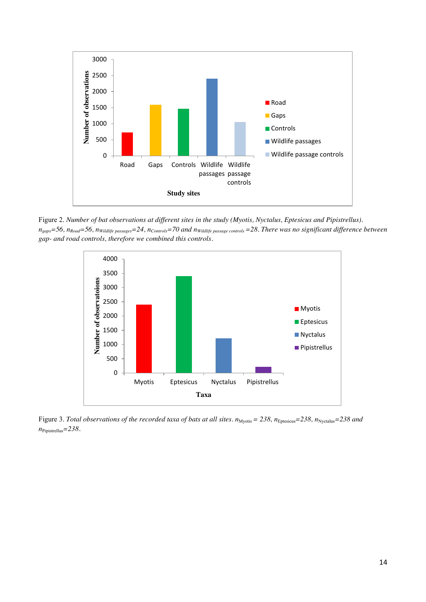

Figure 2. *Number of bat observations at different sites in the study (Myotis, Nyctalus, Eptesicus and Pipistrellus).*   $n_{\text{gaps}}$ =56,  $n_{\text{Road}}$ =56,  $n_{\text{Wildlife}\text{passages}}$ =24,  $n_{\text{Controls}}$ =70 and  $n_{\text{Wildlife}\text{ passage controls}}$  =28. There was no significant difference between *gap- and road controls, therefore we combined this controls.* 



Figure 3. *Total observations of the recorded taxa of bats at all sites.*  $n_{Mvotis} = 238$ ,  $n_{Eptesicus} = 238$ ,  $n_{Nvctalus} = 238$  and *n*Pipistrellus*=238.*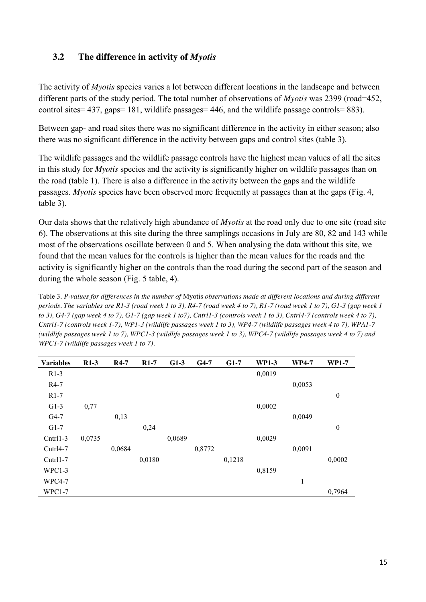#### <span id="page-14-0"></span>**3.2 The difference in activity of** *Myotis*

The activity of *Myotis* species varies a lot between different locations in the landscape and between different parts of the study period. The total number of observations of *Myotis* was 2399 (road=452, control sites= 437, gaps= 181, wildlife passages= 446, and the wildlife passage controls= 883).

Between gap- and road sites there was no significant difference in the activity in either season; also there was no significant difference in the activity between gaps and control sites (table 3).

The wildlife passages and the wildlife passage controls have the highest mean values of all the sites in this study for *Myotis* species and the activity is significantly higher on wildlife passages than on the road (table 1). There is also a difference in the activity between the gaps and the wildlife passages. *Myotis* species have been observed more frequently at passages than at the gaps (Fig. 4, table 3).

Our data shows that the relatively high abundance of *Myotis* at the road only due to one site (road site 6). The observations at this site during the three samplings occasions in July are 80, 82 and 143 while most of the observations oscillate between 0 and 5. When analysing the data without this site, we found that the mean values for the controls is higher than the mean values for the roads and the activity is significantly higher on the controls than the road during the second part of the season and during the whole season (Fig. 5 table, 4).

Table 3. *P-values for differences in the number of* Myotis *observations made at different locations and during different periods. The variables are R1-3 (road week 1 to 3), R4-7 (road week 4 to 7), R1-7 (road week 1 to 7), G1-3 (gap week 1 to 3), G4-7 (gap week 4 to 7), G1-7 (gap week 1 to7), Cntrl1-3 (controls week 1 to 3), Cntrl4-7 (controls week 4 to 7), Cntrl1-7 (controls week 1-7), WP1-3 (wildlife passages week 1 to 3), WP4-7 (wildlife passages week 4 to 7), WPA1-7 (wildlife passages week 1 to 7), WPC1-3 (wildlife passages week 1 to 3), WPC4-7 (wildlife passages week 4 to 7) and WPC1-7 (wildlife passages week 1 to 7).* 

| <b>Variables</b> | $R1-3$ | $R4-7$ | $R1-7$ | $G1-3$ | $G4-7$ | $G1-7$ | <b>WP1-3</b> | <b>WP4-7</b> | <b>WP1-7</b>     |
|------------------|--------|--------|--------|--------|--------|--------|--------------|--------------|------------------|
| $R1-3$           |        |        |        |        |        |        | 0,0019       |              |                  |
| R4-7             |        |        |        |        |        |        |              | 0,0053       |                  |
| $R1-7$           |        |        |        |        |        |        |              |              | $\boldsymbol{0}$ |
| $G1-3$           | 0,77   |        |        |        |        |        | 0,0002       |              |                  |
| $G4-7$           |        | 0,13   |        |        |        |        |              | 0,0049       |                  |
| $G1-7$           |        |        | 0,24   |        |        |        |              |              | $\boldsymbol{0}$ |
| $Cntr11-3$       | 0,0735 |        |        | 0,0689 |        |        | 0,0029       |              |                  |
| $Cntr14-7$       |        | 0,0684 |        |        | 0,8772 |        |              | 0,0091       |                  |
| $Cntr11-7$       |        |        | 0,0180 |        |        | 0,1218 |              |              | 0,0002           |
| WPC1-3           |        |        |        |        |        |        | 0,8159       |              |                  |
| WPC4-7           |        |        |        |        |        |        |              | 1            |                  |
| $WPC1-7$         |        |        |        |        |        |        |              |              | 0,7964           |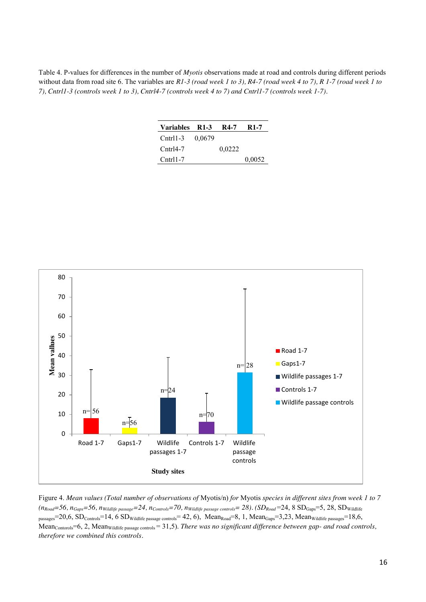Table 4. P-values for differences in the number of *Myotis* observations made at road and controls during different periods without data from road site 6. The variables are *R1-3 (road week 1 to 3), R4-7 (road week 4 to 7), R 1-7 (road week 1 to 7), Cntrl1-3 (controls week 1 to 3), Cntrl4-7 (controls week 4 to 7) and Cntrl1-7 (controls week 1-7).*

| Variables R1-3 |        | <b>R4-7</b> | <b>R</b> 1-7 |
|----------------|--------|-------------|--------------|
| $Ctrl1-3$      | 0,0679 |             |              |
| $Cntr14-7$     |        | 0,0222      |              |
| $Ctrl1-7$      |        |             | 0,0052       |



Figure 4. *Mean values (Total number of observations of* Myotis/n) *for* Myotis *species in different sites from week 1 to 7*   $(n_{\text{Road}}=56, n_{\text{Gaps}}=56, n_{\text{Wildlife}\text{ passage}}=24, n_{\text{Controls}}=70, n_{\text{Wildlife}\text{ passage controls}}=28)$ . ( $SD_{\text{Road}}=24, 8$   $SD_{\text{Gaps}}=5, 28, SD_{\text{Wildlife}}$  $_{\text{passages}}$ =20,6, SD<sub>Controls</sub>=14, 6 SD<sub>Wildlife passage controls</sub>= 42, 6), Mean<sub>Road</sub>=8, 1, Mean<sub>Gaps</sub>=3,23, Mean<sub>Wildlife passages</sub>=18,6, Mean<sub>Contorols</sub>=6, 2, Mean<sub>Wildlife passage controls</sub> = 31,5). *There was no significant difference between gap-* and road controls, *therefore we combined this controls.*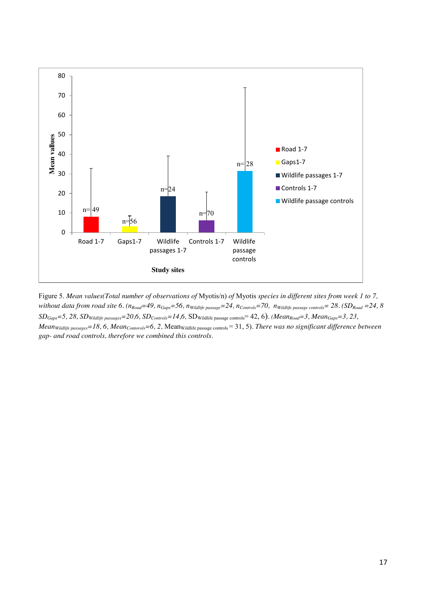

Figure 5. *Mean values(Total number of observations of* Myotis/n) *of* Myotis *species in different sites from week 1 to 7, without data from road site 6.*  $(n_{\text{Road}}=49, n_{\text{Gaps}}=56, n_{\text{Width}fe \text{ passage}}=24, n_{\text{Controls}}=70, n_{\text{Width}fe \text{ passage controls}}=28.$  (SD<sub>Road</sub> =24, 8 *SDGaps=5, 28, SDWildlife passages=20,6, SDControls=14,6,* SDWildlife passage controls= 42, 6)*. (MeanRoad=3, MeanGaps=3, 23, Mean<sub>Wildlife passages*=18, 6, *Mean<sub>Contorols</sub>*=6, 2, Mean<sub>Wildlife passage controls</sub> = 31, 5). *There was no significant difference between*</sub> *gap- and road controls, therefore we combined this controls.*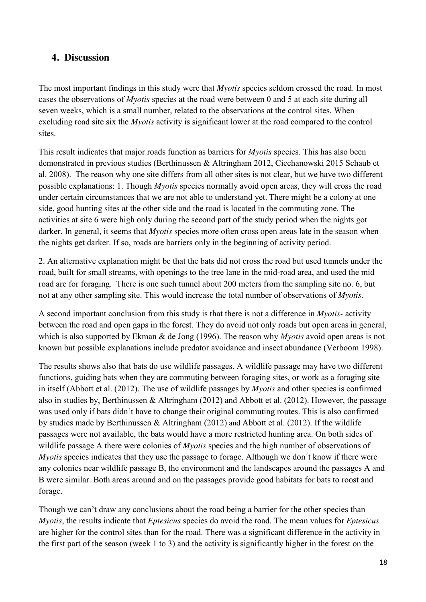### <span id="page-17-0"></span>**4. Discussion**

The most important findings in this study were that *Myotis* species seldom crossed the road. In most cases the observations of *Myotis* species at the road were between 0 and 5 at each site during all seven weeks, which is a small number, related to the observations at the control sites. When excluding road site six the *Myotis* activity is significant lower at the road compared to the control sites.

This result indicates that major roads function as barriers for *Myotis* species. This has also been demonstrated in previous studies (Berthinussen & Altringham 2012, Ciechanowski 2015 Schaub et al. 2008). The reason why one site differs from all other sites is not clear, but we have two different possible explanations: 1. Though *Myotis* species normally avoid open areas, they will cross the road under certain circumstances that we are not able to understand yet. There might be a colony at one side, good hunting sites at the other side and the road is located in the commuting zone. The activities at site 6 were high only during the second part of the study period when the nights got darker. In general, it seems that *Myotis* species more often cross open areas late in the season when the nights get darker. If so, roads are barriers only in the beginning of activity period.

2. An alternative explanation might be that the bats did not cross the road but used tunnels under the road, built for small streams, with openings to the tree lane in the mid-road area, and used the mid road are for foraging. There is one such tunnel about 200 meters from the sampling site no. 6, but not at any other sampling site. This would increase the total number of observations of *Myotis.* 

A second important conclusion from this study is that there is not a difference in *Myotis-* activity between the road and open gaps in the forest. They do avoid not only roads but open areas in general, which is also supported by Ekman & de Jong (1996). The reason why *Myotis* avoid open areas is not known but possible explanations include predator avoidance and insect abundance (Verboom 1998).

The results shows also that bats do use wildlife passages. A wildlife passage may have two different functions, guiding bats when they are commuting between foraging sites, or work as a foraging site in itself (Abbott et al. (2012). The use of wildlife passages by *Myotis* and other species is confirmed also in studies by, Berthinussen & Altringham (2012) and Abbott et al. (2012). However, the passage was used only if bats didn't have to change their original commuting routes. This is also confirmed by studies made by Berthinussen & Altringham (2012) and Abbott et al. (2012). If the wildlife passages were not available, the bats would have a more restricted hunting area. On both sides of wildlife passage A there were colonies of *Myotis* species and the high number of observations of *Myotis* species indicates that they use the passage to forage. Although we don't know if there were any colonies near wildlife passage B, the environment and the landscapes around the passages A and B were similar. Both areas around and on the passages provide good habitats for bats to roost and forage.

Though we can't draw any conclusions about the road being a barrier for the other species than *Myotis*, the results indicate that *Eptesicus* species do avoid the road. The mean values for *Eptesicus* are higher for the control sites than for the road. There was a significant difference in the activity in the first part of the season (week 1 to 3) and the activity is significantly higher in the forest on the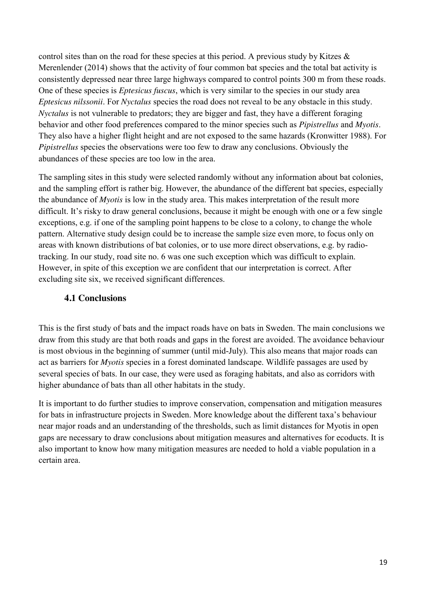control sites than on the road for these species at this period. A previous study by Kitzes  $\&$ Merenlender (2014) shows that the activity of four common bat species and the total bat activity is consistently depressed near three large highways compared to control points 300 m from these roads. One of these species is *Eptesicus fuscus*, which is very similar to the species in our study area *Eptesicus nilssonii*. For *Nyctalus* species the road does not reveal to be any obstacle in this study. *Nyctalus* is not vulnerable to predators; they are bigger and fast, they have a different foraging behavior and other food preferences compared to the minor species such as *Pipistrellus* and *Myotis*. They also have a higher flight height and are not exposed to the same hazards (Kronwitter 1988). For *Pipistrellus* species the observations were too few to draw any conclusions. Obviously the abundances of these species are too low in the area.

The sampling sites in this study were selected randomly without any information about bat colonies, and the sampling effort is rather big. However, the abundance of the different bat species, especially the abundance of *Myotis* is low in the study area. This makes interpretation of the result more difficult. It's risky to draw general conclusions, because it might be enough with one or a few single exceptions, e.g. if one of the sampling point happens to be close to a colony, to change the whole pattern. Alternative study design could be to increase the sample size even more, to focus only on areas with known distributions of bat colonies, or to use more direct observations, e.g. by radiotracking. In our study, road site no. 6 was one such exception which was difficult to explain. However, in spite of this exception we are confident that our interpretation is correct. After excluding site six, we received significant differences.

#### <span id="page-18-0"></span>**4.1 Conclusions**

This is the first study of bats and the impact roads have on bats in Sweden. The main conclusions we draw from this study are that both roads and gaps in the forest are avoided. The avoidance behaviour is most obvious in the beginning of summer (until mid-July). This also means that major roads can act as barriers for *Myotis* species in a forest dominated landscape. Wildlife passages are used by several species of bats. In our case, they were used as foraging habitats, and also as corridors with higher abundance of bats than all other habitats in the study.

It is important to do further studies to improve conservation, compensation and mitigation measures for bats in infrastructure projects in Sweden. More knowledge about the different taxa's behaviour near major roads and an understanding of the thresholds, such as limit distances for Myotis in open gaps are necessary to draw conclusions about mitigation measures and alternatives for ecoducts. It is also important to know how many mitigation measures are needed to hold a viable population in a certain area.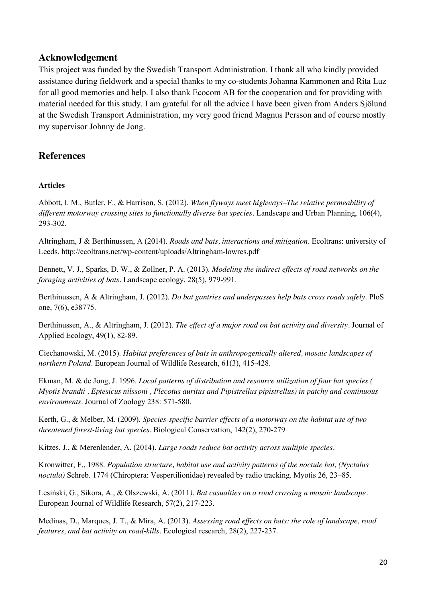#### <span id="page-19-0"></span>**Acknowledgement**

This project was funded by the Swedish Transport Administration. I thank all who kindly provided assistance during fieldwork and a special thanks to my co-students Johanna Kammonen and Rita Luz for all good memories and help. I also thank Ecocom AB for the cooperation and for providing with material needed for this study. I am grateful for all the advice I have been given from Anders Sjölund at the Swedish Transport Administration, my very good friend Magnus Persson and of course mostly my supervisor Johnny de Jong.

### <span id="page-19-1"></span>**References**

#### **Articles**

Abbott, I. M., Butler, F., & Harrison, S. (2012). *When flyways meet highways–The relative permeability of different motorway crossing sites to functionally diverse bat species*. Landscape and Urban Planning, 106(4), 293-302.

Altringham, J & Berthinussen, A (2014). *Roads and bats, interactions and mitigation*. Ecoltrans: university of Leeds. http://ecoltrans.net/wp-content/uploads/Altringham-lowres.pdf

Bennett, V. J., Sparks, D. W., & Zollner, P. A. (2013). *Modeling the indirect effects of road networks on the foraging activities of bats.* Landscape ecology, 28(5), 979-991.

Berthinussen, A & Altringham, J. (2012). *Do bat gantries and underpasses help bats cross roads safely*. PloS one, 7(6), e38775.

Berthinussen, A., & Altringham, J. (2012). *The effect of a major road on bat activity and diversity.* Journal of Applied Ecology, 49(1), 82-89.

Ciechanowski, M. (2015). *Habitat preferences of bats in anthropogenically altered, mosaic landscapes of northern Poland*. European Journal of Wildlife Research, 61(3), 415-428.

Ekman, M. & de Jong, J. 1996. *Local patterns of distribution and resource utilization of four bat species ( Myotis brandti , Eptesicus nilssoni , Plecotus auritus and Pipistrellus pipistrellus) in patchy and continuous environments*. Journal of Zoology 238: 571-580.

Kerth, G., & Melber, M. (2009). *Species-specific barrier effects of a motorway on the habitat use of two threatened forest-living bat species.* Biological Conservation, 142(2), 270-279

Kitzes, J., & Merenlender, A. (2014). *Large roads reduce bat activity across multiple species.*

Kronwitter, F., 1988. *Population structure, habitat use and activity patterns of the noctule bat, (Nyctalus noctula)* Schreb. 1774 (Chiroptera: Vespertilionidae) revealed by radio tracking. Myotis 26, 23–85.

Lesiński, G., Sikora, A., & Olszewski, A. (2011*). Bat casualties on a road crossing a mosaic landscape.* European Journal of Wildlife Research, 57(2), 217-223.

Medinas, D., Marques, J. T., & Mira, A. (2013). *Assessing road effects on bats: the role of landscape, road features, and bat activity on road-kills*. Ecological research, 28(2), 227-237.